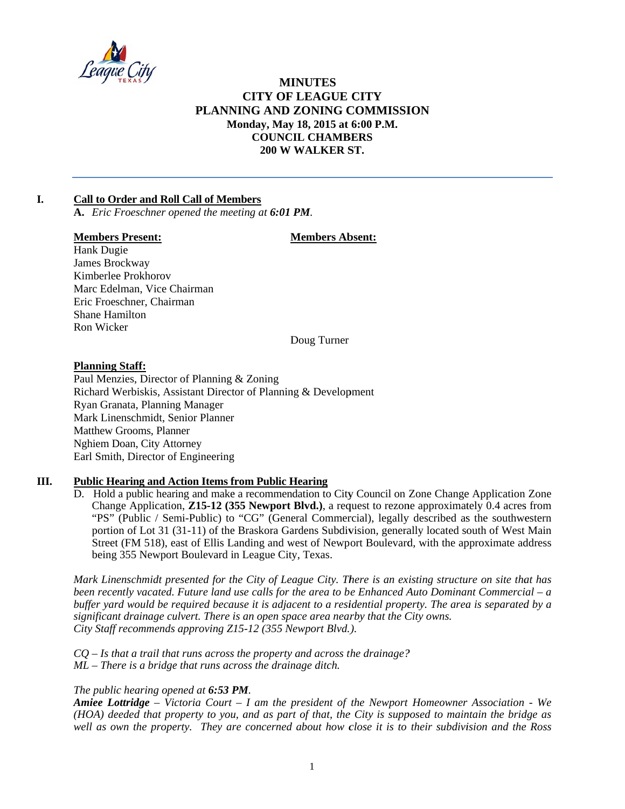

# **MINUTES CITY OF LEAGUE CITY** PLANNING AND ZONING COMMISSION Monday, May 18, 2015 at 6:00 P.M. **COUNCIL CHAMBERS** 200 W WALKER ST.

#### $\mathbf{I}$ . **Call to Order and Roll Call of Members**

A. Eric Froeschner opened the meeting at 6:01 PM.

### **Members Present:**

### **Members Absent:**

Hank Dugie James Brockway Kimberlee Prokhorov Marc Edelman, Vice Chairman Eric Froeschner, Chairman **Shane Hamilton** Ron Wicker

Doug Turner

### **Planning Staff:**

Paul Menzies, Director of Planning & Zoning Richard Werbiskis, Assistant Director of Planning & Development Ryan Granata, Planning Manager Mark Linenschmidt, Senior Planner Matthew Grooms, Planner Nghiem Doan, City Attorney Earl Smith, Director of Engineering

#### Ш. **Public Hearing and Action Items from Public Hearing**

D. Hold a public hearing and make a recommendation to City Council on Zone Change Application Zone Change Application, Z15-12 (355 Newport Blvd.), a request to rezone approximately 0.4 acres from "PS" (Public / Semi-Public) to "CG" (General Commercial), legally described as the southwestern portion of Lot 31 (31-11) of the Braskora Gardens Subdivision, generally located south of West Main Street (FM 518), east of Ellis Landing and west of Newport Boulevard, with the approximate address being 355 Newport Boulevard in League City, Texas.

Mark Linenschmidt presented for the City of League City. There is an existing structure on site that has been recently vacated. Future land use calls for the area to be Enhanced Auto Dominant Commercial – a buffer vard would be required because it is adjacent to a residential property. The area is separated by a significant drainage culvert. There is an open space area nearby that the City owns. City Staff recommends approving Z15-12 (355 Newport Blvd.).

 $CQ - Is$  that a trail that runs across the property and across the drainage?  $ML$  – There is a bridge that runs across the drainage ditch.

## The public hearing opened at 6:53 PM.

Amiee Lottridge - Victoria Court - I am the president of the Newport Homeowner Association - We (HOA) deeded that property to you, and as part of that, the City is supposed to maintain the bridge as well as own the property. They are concerned about how close it is to their subdivision and the Ross